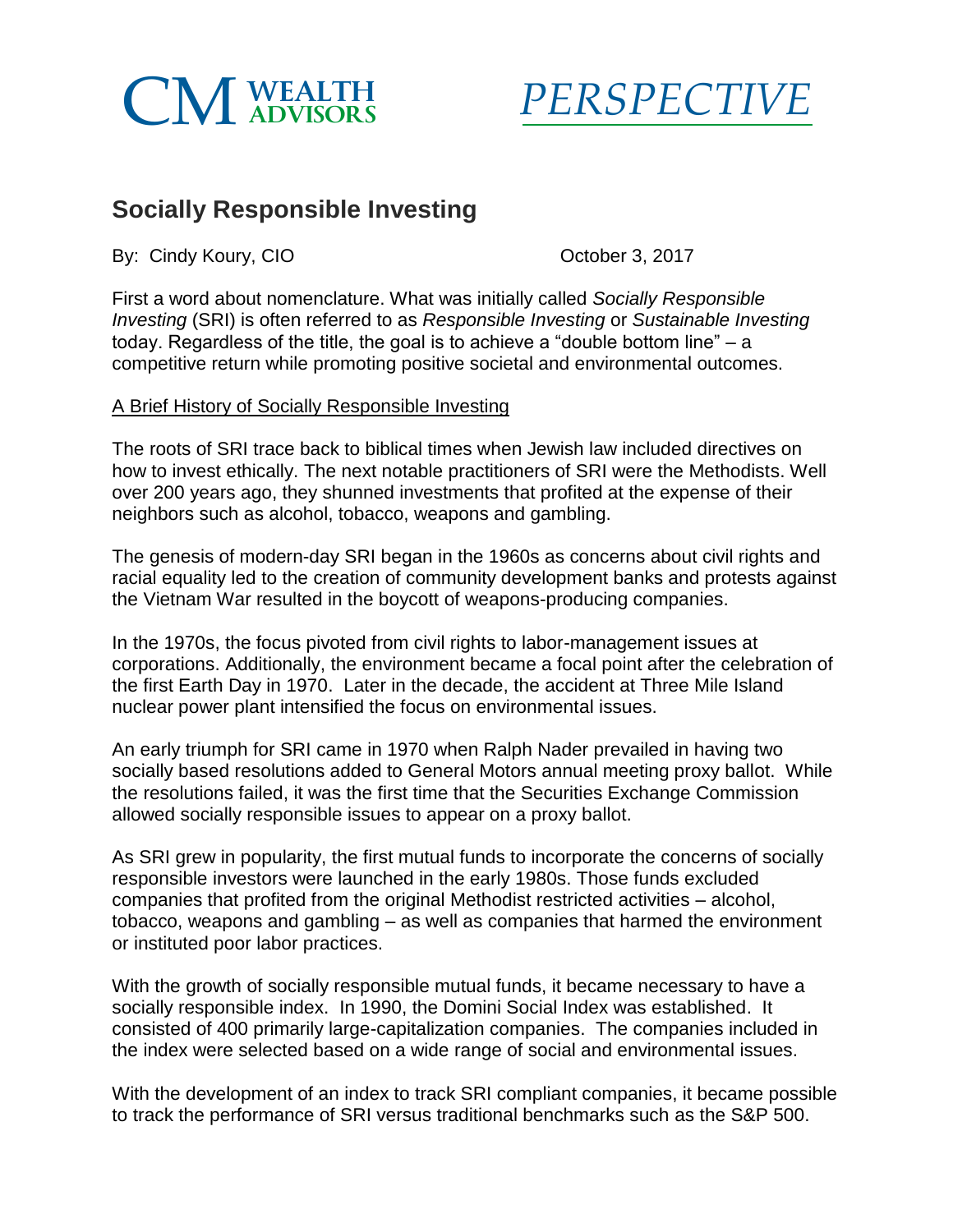



## **Socially Responsible Investing**

By: Cindy Koury, CIO Contract Contract Contract Contract Contract Contract Contract Contract Contract Contract Contract Contract Contract Contract Contract Contract Contract Contract Contract Contract Contract Contract Con

First a word about nomenclature. What was initially called *Socially Responsible Investing* (SRI) is often referred to as *Responsible Investing* or *Sustainable Investing*  today. Regardless of the title, the goal is to achieve a "double bottom line" – a competitive return while promoting positive societal and environmental outcomes.

## A Brief History of Socially Responsible Investing

The roots of SRI trace back to biblical times when Jewish law included directives on how to invest ethically. The next notable practitioners of SRI were the Methodists. Well over 200 years ago, they shunned investments that profited at the expense of their neighbors such as alcohol, tobacco, weapons and gambling.

The genesis of modern-day SRI began in the 1960s as concerns about civil rights and racial equality led to the creation of community development banks and protests against the Vietnam War resulted in the boycott of weapons-producing companies.

In the 1970s, the focus pivoted from civil rights to labor-management issues at corporations. Additionally, the environment became a focal point after the celebration of the first Earth Day in 1970. Later in the decade, the accident at Three Mile Island nuclear power plant intensified the focus on environmental issues.

An early triumph for SRI came in 1970 when Ralph Nader prevailed in having two socially based resolutions added to General Motors annual meeting proxy ballot. While the resolutions failed, it was the first time that the Securities Exchange Commission allowed socially responsible issues to appear on a proxy ballot.

As SRI grew in popularity, the first mutual funds to incorporate the concerns of socially responsible investors were launched in the early 1980s. Those funds excluded companies that profited from the original Methodist restricted activities – alcohol, tobacco, weapons and gambling – as well as companies that harmed the environment or instituted poor labor practices.

With the growth of socially responsible mutual funds, it became necessary to have a socially responsible index. In 1990, the Domini Social Index was established. It consisted of 400 primarily large-capitalization companies. The companies included in the index were selected based on a wide range of social and environmental issues.

With the development of an index to track SRI compliant companies, it became possible to track the performance of SRI versus traditional benchmarks such as the S&P 500.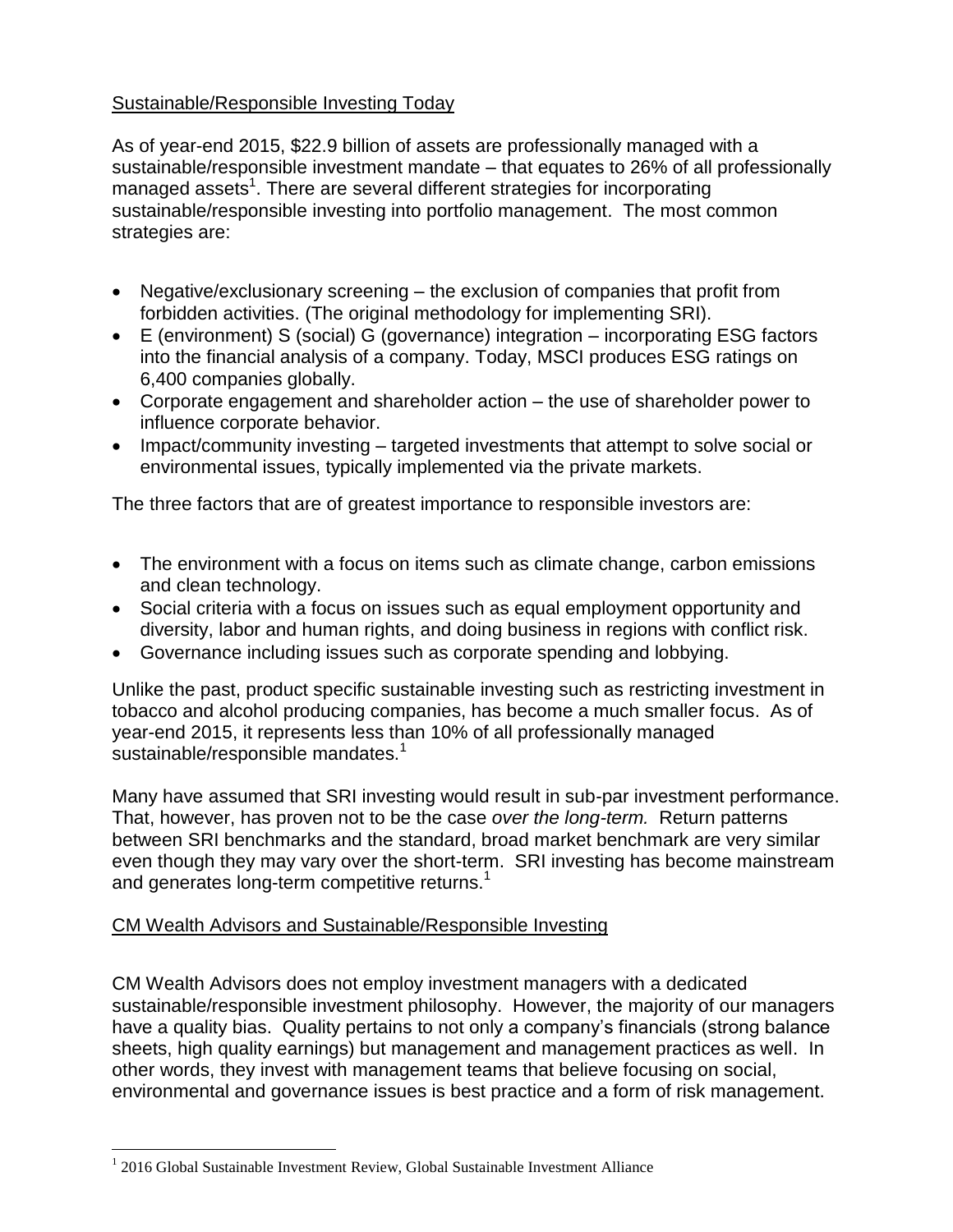## Sustainable/Responsible Investing Today

As of year-end 2015, \$22.9 billion of assets are professionally managed with a sustainable/responsible investment mandate – that equates to 26% of all professionally managed assets<sup>1</sup>. There are several different strategies for incorporating sustainable/responsible investing into portfolio management. The most common strategies are:

- Negative/exclusionary screening the exclusion of companies that profit from forbidden activities. (The original methodology for implementing SRI).
- E (environment) S (social) G (governance) integration incorporating ESG factors into the financial analysis of a company. Today, MSCI produces ESG ratings on 6,400 companies globally.
- Corporate engagement and shareholder action the use of shareholder power to influence corporate behavior.
- Impact/community investing targeted investments that attempt to solve social or environmental issues, typically implemented via the private markets.

The three factors that are of greatest importance to responsible investors are:

- The environment with a focus on items such as climate change, carbon emissions and clean technology.
- Social criteria with a focus on issues such as equal employment opportunity and diversity, labor and human rights, and doing business in regions with conflict risk.
- Governance including issues such as corporate spending and lobbying.

Unlike the past, product specific sustainable investing such as restricting investment in tobacco and alcohol producing companies, has become a much smaller focus. As of year-end 2015, it represents less than 10% of all professionally managed sustainable/responsible mandates.<sup>1</sup>

Many have assumed that SRI investing would result in sub-par investment performance. That, however, has proven not to be the case *over the long-term.* Return patterns between SRI benchmarks and the standard, broad market benchmark are very similar even though they may vary over the short-term. SRI investing has become mainstream and generates long-term competitive returns.<sup>1</sup>

## CM Wealth Advisors and Sustainable/Responsible Investing

CM Wealth Advisors does not employ investment managers with a dedicated sustainable/responsible investment philosophy. However, the majority of our managers have a quality bias. Quality pertains to not only a company's financials (strong balance sheets, high quality earnings) but management and management practices as well. In other words, they invest with management teams that believe focusing on social, environmental and governance issues is best practice and a form of risk management.

 $\overline{a}$ 

<sup>&</sup>lt;sup>1</sup> 2016 Global Sustainable Investment Review, Global Sustainable Investment Alliance